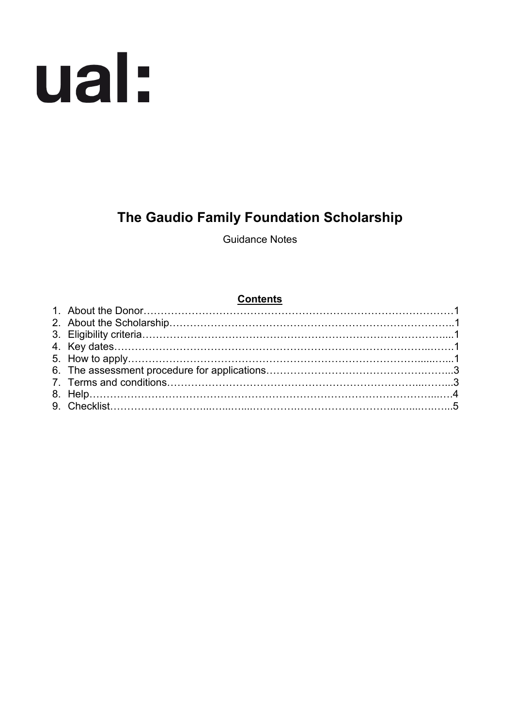

# **The Gaudio Family Foundation Scholarship**

Guidance Notes

## **Contents**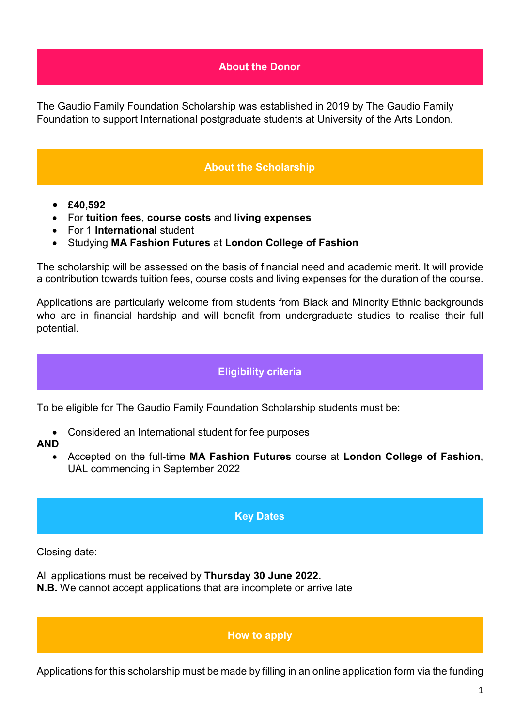### **About the Donor**

The Gaudio Family Foundation Scholarship was established in 2019 by The Gaudio Family Foundation to support International postgraduate students at University of the Arts London.

## **About the Scholarship**

- **£40,592**
- For **tuition fees**, **course costs** and **living expenses**
- For 1 **International** student
- Studying **MA Fashion Futures** at **London College of Fashion**

The scholarship will be assessed on the basis of financial need and academic merit. It will provide a contribution towards tuition fees, course costs and living expenses for the duration of the course.

Applications are particularly welcome from students from Black and Minority Ethnic backgrounds who are in financial hardship and will benefit from undergraduate studies to realise their full potential.

## **Eligibility criteria**

To be eligible for The Gaudio Family Foundation Scholarship students must be:

• Considered an International student for fee purposes

#### **AND**

• Accepted on the full-time **MA Fashion Futures** course at **London College of Fashion**, UAL commencing in September 2022

#### **Key Dates**

#### Closing date:

 $\overline{a}$ 

All applications must be received by **Thursday 30 June 2022. N.B.** We cannot accept applications that are incomplete or arrive late

#### **How to apply**

Applications for this scholarship must be made by filling in an online application form via the funding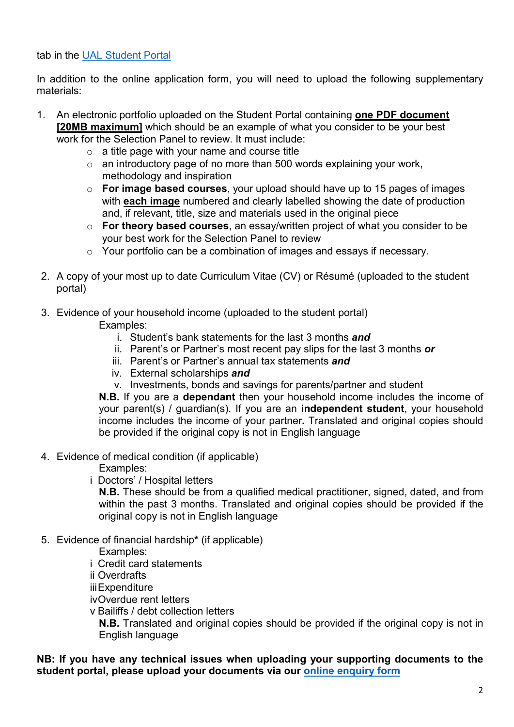tab in the [UAL Student Portal](https://sits.arts.ac.uk/urd/sits.urd/run/SIW_LGN)

In addition to the online application form, you will need to upload the following supplementary materials:

- 1. An electronic portfolio uploaded on the Student Portal containing **one PDF document [20MB maximum]** which should be an example of what you consider to be your best work for the Selection Panel to review. It must include:
	- $\circ$  a title page with your name and course title
	- o an introductory page of no more than 500 words explaining your work, methodology and inspiration
	- o **For image based courses**, your upload should have up to 15 pages of images with **each image** numbered and clearly labelled showing the date of production and, if relevant, title, size and materials used in the original piece
	- o **For theory based courses**, an essay/written project of what you consider to be your best work for the Selection Panel to review
	- o Your portfolio can be a combination of images and essays if necessary.
- 2. A copy of your most up to date Curriculum Vitae (CV) or Résumé (uploaded to the student portal)
- 3. Evidence of your household income (uploaded to the student portal)

Examples:

- i. Student's bank statements for the last 3 months *and*
- ii. Parent's or Partner's most recent pay slips for the last 3 months *or*
- iii. Parent's or Partner's annual tax statements *and*
- iv. External scholarships *and*
- v. Investments, bonds and savings for parents/partner and student

**N.B.** If you are a **dependant** then your household income includes the income of your parent(s) / guardian(s). If you are an **independent student**, your household income includes the income of your partner**.** Translated and original copies should be provided if the original copy is not in English language

4. Evidence of medical condition (if applicable)

Examples:

i Doctors' / Hospital letters

**N.B.** These should be from a qualified medical practitioner, signed, dated, and from within the past 3 months. Translated and original copies should be provided if the original copy is not in English language

5. Evidence of financial hardship**\*** (if applicable)

Examples:

i Credit card statements

ii Overdrafts

iiiExpenditure

ivOverdue rent letters

v Bailiffs / debt collection letters

**N.B.** Translated and original copies should be provided if the original copy is not in English language

## **NB: If you have any technical issues when uploading your supporting documents to the student portal, please upload your documents via our [online enquiry form](https://forms.arts.ac.uk/funding-student-enquiry-form/)**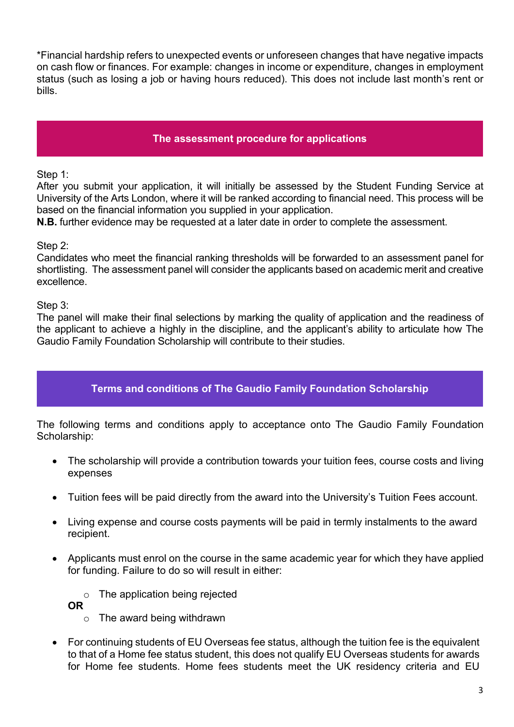\*Financial hardship refers to unexpected events or unforeseen changes that have negative impacts on cash flow or finances. For example: changes in income or expenditure, changes in employment status (such as losing a job or having hours reduced). This does not include last month's rent or bills.

## **The assessment procedure for applications**

Step 1:

After you submit your application, it will initially be assessed by the Student Funding Service at University of the Arts London, where it will be ranked according to financial need. This process will be based on the financial information you supplied in your application.

**N.B.** further evidence may be requested at a later date in order to complete the assessment.

Step 2:

Candidates who meet the financial ranking thresholds will be forwarded to an assessment panel for shortlisting. The assessment panel will consider the applicants based on academic merit and creative excellence.

Step 3:

The panel will make their final selections by marking the quality of application and the readiness of the applicant to achieve a highly in the discipline, and the applicant's ability to articulate how The Gaudio Family Foundation Scholarship will contribute to their studies.

## **Terms and conditions of The Gaudio Family Foundation Scholarship**

The following terms and conditions apply to acceptance onto The Gaudio Family Foundation Scholarship:

- The scholarship will provide a contribution towards your tuition fees, course costs and living expenses
- Tuition fees will be paid directly from the award into the University's Tuition Fees account.
- Living expense and course costs payments will be paid in termly instalments to the award recipient.
- Applicants must enrol on the course in the same academic year for which they have applied for funding. Failure to do so will result in either:

o The application being rejected

**OR** 

- o The award being withdrawn
- For continuing students of EU Overseas fee status, although the tuition fee is the equivalent to that of a Home fee status student, this does not qualify EU Overseas students for awards for Home fee students. Home fees students meet the UK residency criteria and EU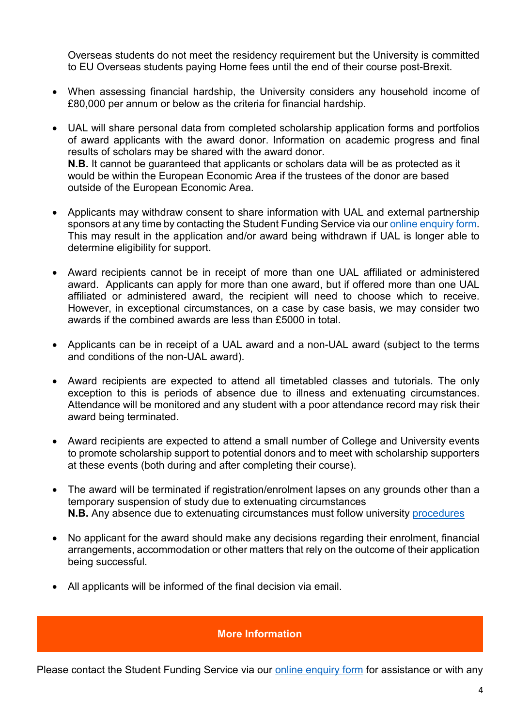Overseas students do not meet the residency requirement but the University is committed to EU Overseas students paying Home fees until the end of their course post-Brexit.

- When assessing financial hardship, the University considers any household income of £80,000 per annum or below as the criteria for financial hardship.
- UAL will share personal data from completed scholarship application forms and portfolios of award applicants with the award donor. Information on academic progress and final results of scholars may be shared with the award donor. **N.B.** It cannot be guaranteed that applicants or scholars data will be as protected as it would be within the European Economic Area if the trustees of the donor are based outside of the European Economic Area.
- Applicants may withdraw consent to share information with UAL and external partnership sponsors at any time by contacting the Student Funding Service via ou[r online enquiry form.](https://forms.arts.ac.uk/funding-student-enquiry-form/) This may result in the application and/or award being withdrawn if UAL is longer able to determine eligibility for support.
- Award recipients cannot be in receipt of more than one UAL affiliated or administered award. Applicants can apply for more than one award, but if offered more than one UAL affiliated or administered award, the recipient will need to choose which to receive. However, in exceptional circumstances, on a case by case basis, we may consider two awards if the combined awards are less than £5000 in total.
- Applicants can be in receipt of a UAL award and a non-UAL award (subject to the terms and conditions of the non-UAL award).
- Award recipients are expected to attend all timetabled classes and tutorials. The only exception to this is periods of absence due to illness and extenuating circumstances. Attendance will be monitored and any student with a poor attendance record may risk their award being terminated.
- Award recipients are expected to attend a small number of College and University events to promote scholarship support to potential donors and to meet with scholarship supporters at these events (both during and after completing their course).
- The award will be terminated if registration/enrolment lapses on any grounds other than a temporary suspension of study due to extenuating circumstances **N.B.** Any absence due to extenuating circumstances must follow university [procedures](https://www.arts.ac.uk/study-at-ual/academic-regulations/course-regulations/extenuating-circumstances-and-time-out)
- No applicant for the award should make any decisions regarding their enrolment, financial arrangements, accommodation or other matters that rely on the outcome of their application being successful.
- All applicants will be informed of the final decision via email.

#### **More Information**

Please contact the Student Funding Service via our [online enquiry form](https://forms.arts.ac.uk/funding-student-enquiry-form/) for assistance or with any